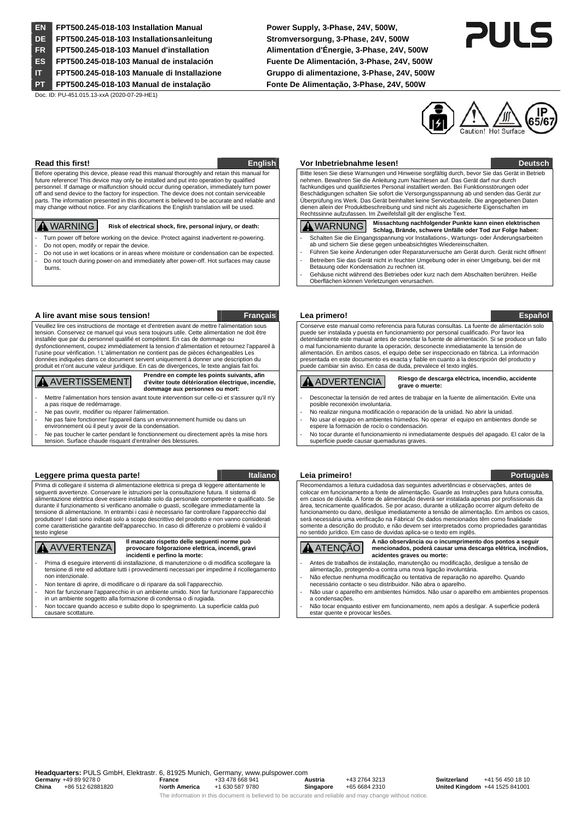**EN FPT500.245-018-103 Installation Manual Power Supply, 3-Phase, 24V, 500W, DE FPT500.245-018-103 Installationsanleitung Stromversorgung, 3-Phase, 24V, 500W FR FPT500.245-018-103 Manuel d'installation Alimentation d'Énergie, 3-Phase, 24V, 500W ES FPT500.245-018-103 Manual de instalación Fuente De Alimentación, 3-Phase, 24V, 500W IT FPT500.245-018-103 Manuale di Installazione Gruppo di alimentazione, 3-Phase, 24V, 500W** 

Doc. ID: PU-451.015.13-xxA (2020-07-29-HE1)

**PT FPT500.245-018-103 Manual de instalação Fonte De Alimentação, 3-Phase, 24V, 500W** 





Before operating this device, please read this manual thoroughly and retain this manual for future reference! This device may only be installed and put into operation by qualified personnel. If damage or malfunction should occur during operation, immediately turn power off and send device to the factory for inspection. The device does not contain serviceable parts. The information presented in this document is believed to be accurate and reliable and may change without notice. For any clarifications the English translation will be used.

- Turn power off before working on the device. Protect against inadvertent re-powering Do not open, modify or repair the device
- 
- Do not use in wet locations or in areas where moisture or condensation can be expected. Do not touch during power-on and immediately after power-off. Hot surfaces may cause burns.

### **A lire avant mise sous tension! Français Lea primero! Español**

Veuillez lire ces instructions de montage et d'entretien avant de mettre l'alimentation sous tension. Conservez ce manuel qui vous sera toujours utile. Cette alimentation ne doit être installée que par du personnel qualifié et compétent. En cas de dommage ou dysfonctionnement, coupez immédiatement la tension d'alimentation et retournez l'appareil à l'usine pour vérification. ! L'alimentation ne contient pas de pièces échangeables Les données indiquées dans ce document servent uniquement à donner une description du produit et n'ont aucune valeur juridique. En cas de divergences, le texte anglais fait foi.

AVERTISSEMENT **Prendre en compte les points suivants, afin d'éviter toute détérioration électrique, incendie,** 

## **dommage aux personnes ou mort:**

- Mettre l'alimentation hors tension avant toute intervention sur celle-ci et s'assurer qu'il n'y a pas risque de redémarrage.
- Ne pas ouvrir, modifier ou réparer l'alimentation.
- Ne pas faire fonctionner l'appareil dans un environnement humide ou dans un environnement où il peut y avoir de la condensation.
- Ne pas toucher le carter pendant le fonctionnement ou directement après la mise hors tension. Surface chaude risquant d'entraîner des blessures.

### Leggere prima questa parte! **Italiano de leia primeiro! Italiano de leia primeiro! Portuguès**

Prima di collegare il sistema di alimentazione elettrica si prega di leggere attentamente le seguenti avvertenze. Conservare le istruzioni per la consultazione futura. Il sistema di alimentazione elettrica deve essere installato solo da personale competente e qualificato. Se durante il funzionamento si verificano anomalie o guasti, scollegare immediatamente la tensione di alimentazione. In entrambi i casi è necessario far controllare l'apparecchio dal produttore! I dati sono indicati solo a scopo descrittivo del prodotto e non vanno considerati come caratteristiche garantite dell'apparecchio. In caso di differenze o problemi è valido il testo inglese

# AVVERTENZA **Il mancato rispetto delle seguenti norme può provocare folgorazione elettrica, incendi, gravi incidenti e perfino la morte:**

- Prima di eseguire interventi di installazione, di manutenzione o di modifica scollegare la tensione di rete ed adottare tutti i provvedimenti necessari per impedirne il ricollegamento non intenzionale.
- Non tentare di aprire, di modificare o di riparare da soli l'apparecchio.
- Non far funzionare l'apparecchio in un ambiente umido. Non far funzionare l'apparecchio in un ambiente soggetto alla formazione di condensa o di rugiada.
- Non toccare quando acceso e subito dopo lo spegnimento. La superficie calda può causare scottature.

### **Read this first! English Vor Inbetriebnahme lesen!** Deutsch

 Bitte lesen Sie diese Warnungen und Hinweise sorgfältig durch, bevor Sie das Gerät in Betrieb nehmen. Bewahren Sie die Anleitung zum Nachlesen auf. Das Gerät darf nur durch fachkundiges und qualifiziertes Personal installiert werden. Bei Funktionsstörungen oder Beschädigungen schalten Sie sofort die Versorgungsspannung ab und senden das Gerät zur Überprüfung ins Werk. Das Gerät beinhaltet keine Servicebauteile. Die angegebenen Daten dienen allein der Produktbeschreibung und sind nicht als zugesicherte Eigenschaften im Rechtssinne aufzufassen. Im Zweifelsfall gilt der englische Text.

### WARNING **Risk of electrical shock, fire, personal injury, or death:** WARNUNG **Missachtung nachfolgender Punkte kann einen elektrischen Schlag, Brände, schwere Unfälle oder Tod zur Folge haben:** Schalten Sie die Eingangsspannung vor Installations-, Wartungs- oder Änderungsarbeiten ab und sichern Sie diese gegen unbeabsichtigtes Wiedereinschalten.

- Führen Sie keine Änderungen oder Reparaturversuche am Gerät durch. Gerät nicht öffnen! Betreiben Sie das Gerät nicht in feuchter Umgebung oder in einer Umgebung, bei der mit
- Betauung oder Kondensation zu rechnen ist. - Gehäuse nicht während des Betriebes oder kurz nach dem Abschalten berühren. Heiße
- Oberflächen können Verletzungen verursachen.

 Conserve este manual como referencia para futuras consultas. La fuente de alimentación solo puede ser instalada y puesta en funcionamiento por personal cualificado. Por favor lea detenidamente este manual antes de conectar la fuente de alimentación. Si se produce un fallo o mal funcionamiento durante la operación, desconecte inmediatamente la tensión de alimentación. En ambos casos, el equipo debe ser inspeccionado en fábrica. La información presentada en este documento es exacta y fiable en cuanto a la descripción del producto y puede cambiar sin aviso. En casa de duda, prevalece el texto inglés.

### ADVERTENCIA **Riesgo de descarga eléctrica, incendio, accidente grave o muerte:**

Desconectar la tensión de red antes de trabajar en la fuente de alimentación. Evite una posible reconexión involuntaria.

- No realizar ninguna modificación o reparación de la unidad. No abrir la unidad. No usar el equipo en ambientes húmedos. No operar el equipo en ambientes donde se
- espere la formación de rocío o condensación. - No tocar durante el funcionamiento ni inmediatamente después del apagado. El calor de la superficie puede causar quemaduras graves.

### Recomendamos a leitura cuidadosa das seguintes advertências e observações, antes de itação. Guarde as Instruções para futura consulta. em casos de dúvida. A fonte de alimentação deverá ser instalada apenas por profissionais da área, tecnicamente qualificados. Se por acaso, durante a utilização ocorrer algum defeito de funcionamento ou dano, desligue imediatamente a tensão de alimentação. Em ambos os casos, será necessária uma verificação na Fábrica! Os dados mencionados têm como finalidade somente a descrição do produto, e não devem ser interpretados como propriedades garantidas no sentido jurídico. Em caso de duvidas aplica-se o texto em inglês.

# ATENÇÃO **A não observância ou o incumprimento dos pontos a seguir mencionados, poderá causar uma descarga elétrica, incêndios, acidentes graves ou morte:**

- Antes de trabalhos de instalação, manutenção ou modificação, desligue a tensão de alimentação, protegendo-a contra uma nova ligação involuntária. Não efectue nenhuma modificação ou tentativa de reparação no aparelho. Quando
- necessário contacte o seu distribuidor. Não abra o aparelho.
- Não usar o aparelho em ambientes húmidos. Não usar o aparelho em ambientes propensos a condensações.

- Não tocar enquanto estiver em funcionamento, nem após a desligar. A superficie poderá estar quente e provocar lesõe